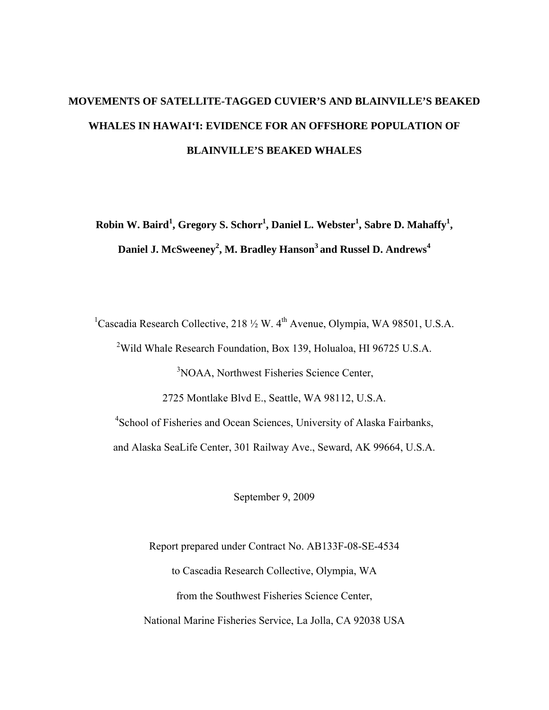# **MOVEMENTS OF SATELLITE-TAGGED CUVIER'S AND BLAINVILLE'S BEAKED WHALES IN HAWAI'I: EVIDENCE FOR AN OFFSHORE POPULATION OF BLAINVILLE'S BEAKED WHALES**

 $\mathbf{R}$ obin W. Baird<sup>1</sup>, Gregory S. Schorr<sup>1</sup>, Daniel L. Webster<sup>1</sup>, Sabre D. Mahaffy<sup>1</sup>, **Daniel J. McSweeney<sup>2</sup> , M. Bradley Hanson3 and Russel D. Andrews4**

<sup>1</sup>Cascadia Research Collective, 218 1/2 W. 4<sup>th</sup> Avenue, Olympia, WA 98501, U.S.A. <sup>2</sup>Wild Whale Research Foundation, Box 139, Holualoa, HI 96725 U.S.A. <sup>3</sup>NOAA, Northwest Fisheries Science Center, 2725 Montlake Blvd E., Seattle, WA 98112, U.S.A. <sup>4</sup>School of Fisheries and Ocean Sciences, University of Alaska Fairbanks, and Alaska SeaLife Center, 301 Railway Ave., Seward, AK 99664, U.S.A.

September 9, 2009

Report prepared under Contract No. AB133F-08-SE-4534 to Cascadia Research Collective, Olympia, WA from the Southwest Fisheries Science Center, National Marine Fisheries Service, La Jolla, CA 92038 USA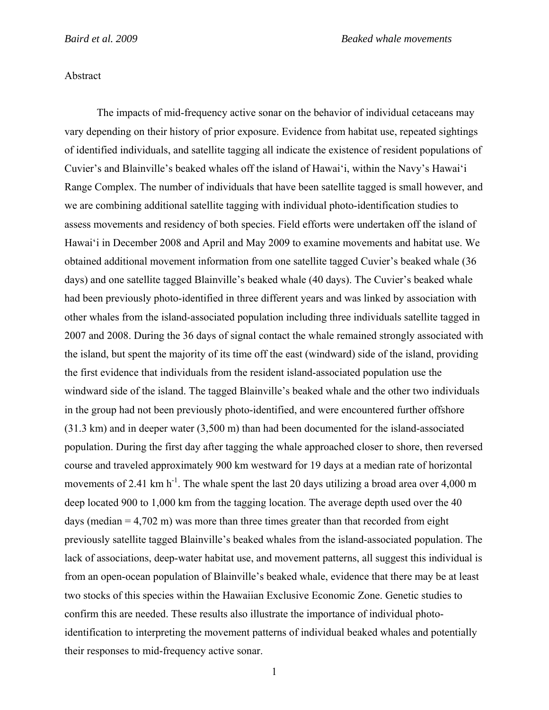#### Abstract

 The impacts of mid-frequency active sonar on the behavior of individual cetaceans may vary depending on their history of prior exposure. Evidence from habitat use, repeated sightings of identified individuals, and satellite tagging all indicate the existence of resident populations of Cuvier's and Blainville's beaked whales off the island of Hawai'i, within the Navy's Hawai'i Range Complex. The number of individuals that have been satellite tagged is small however, and we are combining additional satellite tagging with individual photo-identification studies to assess movements and residency of both species. Field efforts were undertaken off the island of Hawai'i in December 2008 and April and May 2009 to examine movements and habitat use. We obtained additional movement information from one satellite tagged Cuvier's beaked whale (36 days) and one satellite tagged Blainville's beaked whale (40 days). The Cuvier's beaked whale had been previously photo-identified in three different years and was linked by association with other whales from the island-associated population including three individuals satellite tagged in 2007 and 2008. During the 36 days of signal contact the whale remained strongly associated with the island, but spent the majority of its time off the east (windward) side of the island, providing the first evidence that individuals from the resident island-associated population use the windward side of the island. The tagged Blainville's beaked whale and the other two individuals in the group had not been previously photo-identified, and were encountered further offshore (31.3 km) and in deeper water (3,500 m) than had been documented for the island-associated population. During the first day after tagging the whale approached closer to shore, then reversed course and traveled approximately 900 km westward for 19 days at a median rate of horizontal movements of 2.41 km  $h^{-1}$ . The whale spent the last 20 days utilizing a broad area over 4,000 m deep located 900 to 1,000 km from the tagging location. The average depth used over the 40 days (median  $= 4,702$  m) was more than three times greater than that recorded from eight previously satellite tagged Blainville's beaked whales from the island-associated population. The lack of associations, deep-water habitat use, and movement patterns, all suggest this individual is from an open-ocean population of Blainville's beaked whale, evidence that there may be at least two stocks of this species within the Hawaiian Exclusive Economic Zone. Genetic studies to confirm this are needed. These results also illustrate the importance of individual photoidentification to interpreting the movement patterns of individual beaked whales and potentially their responses to mid-frequency active sonar.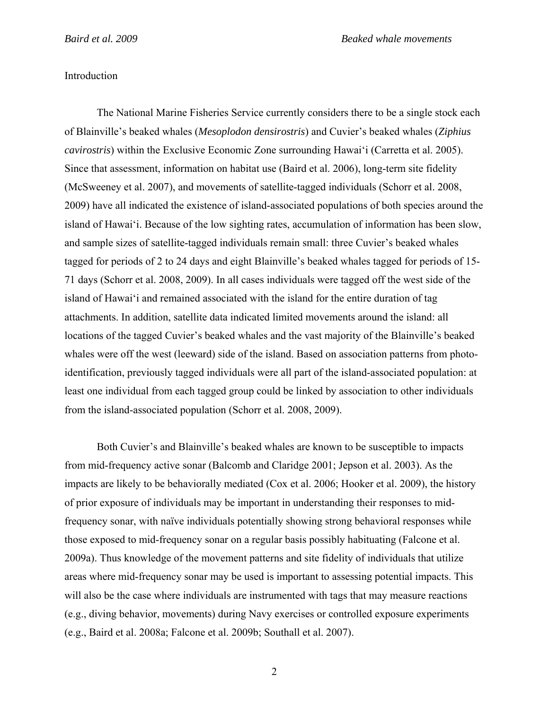### Introduction

 The National Marine Fisheries Service currently considers there to be a single stock each of Blainville's beaked whales (*Mesoplodon densirostris*) and Cuvier's beaked whales (*Ziphius cavirostris*) within the Exclusive Economic Zone surrounding Hawai'i (Carretta et al. 2005). Since that assessment, information on habitat use (Baird et al. 2006), long-term site fidelity (McSweeney et al. 2007), and movements of satellite-tagged individuals (Schorr et al. 2008, 2009) have all indicated the existence of island-associated populations of both species around the island of Hawai'i. Because of the low sighting rates, accumulation of information has been slow, and sample sizes of satellite-tagged individuals remain small: three Cuvier's beaked whales tagged for periods of 2 to 24 days and eight Blainville's beaked whales tagged for periods of 15- 71 days (Schorr et al. 2008, 2009). In all cases individuals were tagged off the west side of the island of Hawai'i and remained associated with the island for the entire duration of tag attachments. In addition, satellite data indicated limited movements around the island: all locations of the tagged Cuvier's beaked whales and the vast majority of the Blainville's beaked whales were off the west (leeward) side of the island. Based on association patterns from photoidentification, previously tagged individuals were all part of the island-associated population: at least one individual from each tagged group could be linked by association to other individuals from the island-associated population (Schorr et al. 2008, 2009).

 Both Cuvier's and Blainville's beaked whales are known to be susceptible to impacts from mid-frequency active sonar (Balcomb and Claridge 2001; Jepson et al. 2003). As the impacts are likely to be behaviorally mediated (Cox et al. 2006; Hooker et al. 2009), the history of prior exposure of individuals may be important in understanding their responses to midfrequency sonar, with naïve individuals potentially showing strong behavioral responses while those exposed to mid-frequency sonar on a regular basis possibly habituating (Falcone et al. 2009a). Thus knowledge of the movement patterns and site fidelity of individuals that utilize areas where mid-frequency sonar may be used is important to assessing potential impacts. This will also be the case where individuals are instrumented with tags that may measure reactions (e.g., diving behavior, movements) during Navy exercises or controlled exposure experiments (e.g., Baird et al. 2008a; Falcone et al. 2009b; Southall et al. 2007).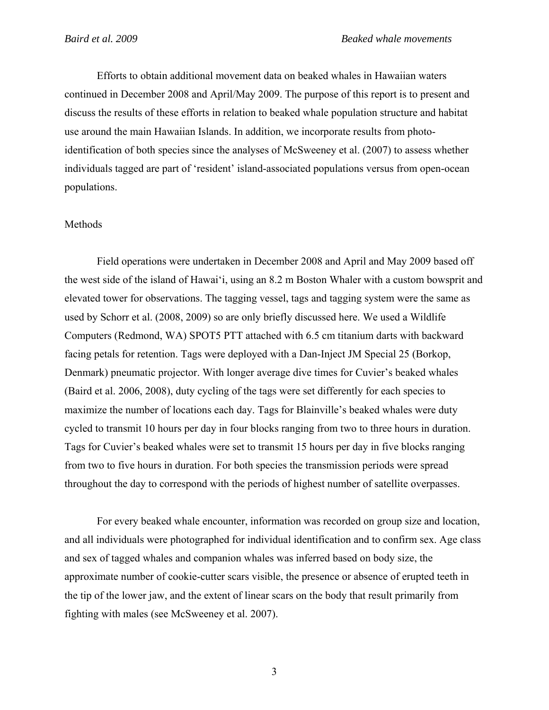Efforts to obtain additional movement data on beaked whales in Hawaiian waters continued in December 2008 and April/May 2009. The purpose of this report is to present and discuss the results of these efforts in relation to beaked whale population structure and habitat use around the main Hawaiian Islands. In addition, we incorporate results from photoidentification of both species since the analyses of McSweeney et al. (2007) to assess whether individuals tagged are part of 'resident' island-associated populations versus from open-ocean populations.

#### Methods

 Field operations were undertaken in December 2008 and April and May 2009 based off the west side of the island of Hawai'i, using an 8.2 m Boston Whaler with a custom bowsprit and elevated tower for observations. The tagging vessel, tags and tagging system were the same as used by Schorr et al. (2008, 2009) so are only briefly discussed here. We used a Wildlife Computers (Redmond, WA) SPOT5 PTT attached with 6.5 cm titanium darts with backward facing petals for retention. Tags were deployed with a Dan-Inject JM Special 25 (Borkop, Denmark) pneumatic projector. With longer average dive times for Cuvier's beaked whales (Baird et al. 2006, 2008), duty cycling of the tags were set differently for each species to maximize the number of locations each day. Tags for Blainville's beaked whales were duty cycled to transmit 10 hours per day in four blocks ranging from two to three hours in duration. Tags for Cuvier's beaked whales were set to transmit 15 hours per day in five blocks ranging from two to five hours in duration. For both species the transmission periods were spread throughout the day to correspond with the periods of highest number of satellite overpasses.

 For every beaked whale encounter, information was recorded on group size and location, and all individuals were photographed for individual identification and to confirm sex. Age class and sex of tagged whales and companion whales was inferred based on body size, the approximate number of cookie-cutter scars visible, the presence or absence of erupted teeth in the tip of the lower jaw, and the extent of linear scars on the body that result primarily from fighting with males (see McSweeney et al. 2007).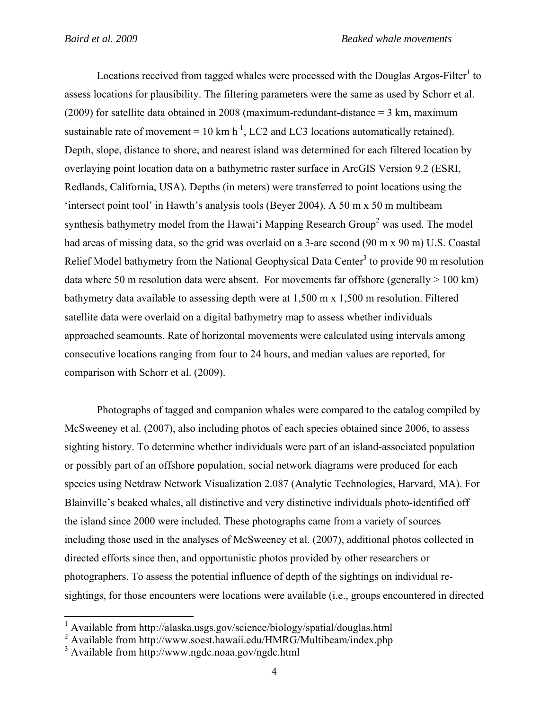Locations received from tagged whales were processed with the Douglas Argos-Filter $<sup>1</sup>$  to</sup> assess locations for plausibility. The filtering parameters were the same as used by Schorr et al. (2009) for satellite data obtained in 2008 (maximum-redundant-distance = 3 km, maximum sustainable rate of movement =  $10 \text{ km h}^{-1}$ , LC2 and LC3 locations automatically retained). Depth, slope, distance to shore, and nearest island was determined for each filtered location by overlaying point location data on a bathymetric raster surface in ArcGIS Version 9.2 (ESRI, Redlands, California, USA). Depths (in meters) were transferred to point locations using the 'intersect point tool' in Hawth's analysis tools (Beyer 2004). A 50 m x 50 m multibeam synthesis bathymetry model from the Hawai'i Mapping Research Group<sup>2</sup> was used. The model had areas of missing data, so the grid was overlaid on a 3-arc second (90 m x 90 m) U.S. Coastal Relief Model bathymetry from the National Geophysical Data Center<sup>3</sup> to provide 90 m resolution data where 50 m resolution data were absent. For movements far offshore (generally  $> 100 \text{ km}$ ) bathymetry data available to assessing depth were at 1,500 m x 1,500 m resolution. Filtered satellite data were overlaid on a digital bathymetry map to assess whether individuals approached seamounts. Rate of horizontal movements were calculated using intervals among consecutive locations ranging from four to 24 hours, and median values are reported, for comparison with Schorr et al. (2009).

 Photographs of tagged and companion whales were compared to the catalog compiled by McSweeney et al. (2007), also including photos of each species obtained since 2006, to assess sighting history. To determine whether individuals were part of an island-associated population or possibly part of an offshore population, social network diagrams were produced for each species using Netdraw Network Visualization 2.087 (Analytic Technologies, Harvard, MA). For Blainville's beaked whales, all distinctive and very distinctive individuals photo-identified off the island since 2000 were included. These photographs came from a variety of sources including those used in the analyses of McSweeney et al. (2007), additional photos collected in directed efforts since then, and opportunistic photos provided by other researchers or photographers. To assess the potential influence of depth of the sightings on individual resightings, for those encounters were locations were available (i.e., groups encountered in directed

 $\overline{a}$ 

<sup>1</sup> Available from http://alaska.usgs.gov/science/biology/spatial/douglas.html

<sup>&</sup>lt;sup>2</sup> Available from http://www.soest.hawaii.edu/HMRG/Multibeam/index.php

<sup>&</sup>lt;sup>3</sup> Available from http://www.ngdc.noaa.gov/ngdc.html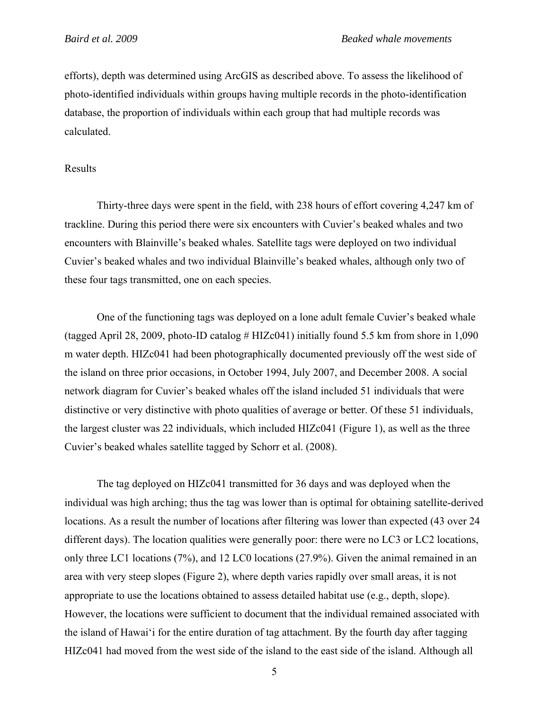efforts), depth was determined using ArcGIS as described above. To assess the likelihood of photo-identified individuals within groups having multiple records in the photo-identification database, the proportion of individuals within each group that had multiple records was calculated.

### Results

 Thirty-three days were spent in the field, with 238 hours of effort covering 4,247 km of trackline. During this period there were six encounters with Cuvier's beaked whales and two encounters with Blainville's beaked whales. Satellite tags were deployed on two individual Cuvier's beaked whales and two individual Blainville's beaked whales, although only two of these four tags transmitted, one on each species.

 One of the functioning tags was deployed on a lone adult female Cuvier's beaked whale (tagged April 28, 2009, photo-ID catalog  $# HIZc041$ ) initially found 5.5 km from shore in 1,090 m water depth. HIZc041 had been photographically documented previously off the west side of the island on three prior occasions, in October 1994, July 2007, and December 2008. A social network diagram for Cuvier's beaked whales off the island included 51 individuals that were distinctive or very distinctive with photo qualities of average or better. Of these 51 individuals, the largest cluster was 22 individuals, which included HIZc041 (Figure 1), as well as the three Cuvier's beaked whales satellite tagged by Schorr et al. (2008).

 The tag deployed on HIZc041 transmitted for 36 days and was deployed when the individual was high arching; thus the tag was lower than is optimal for obtaining satellite-derived locations. As a result the number of locations after filtering was lower than expected (43 over 24 different days). The location qualities were generally poor: there were no LC3 or LC2 locations, only three LC1 locations (7%), and 12 LC0 locations (27.9%). Given the animal remained in an area with very steep slopes (Figure 2), where depth varies rapidly over small areas, it is not appropriate to use the locations obtained to assess detailed habitat use (e.g., depth, slope). However, the locations were sufficient to document that the individual remained associated with the island of Hawai'i for the entire duration of tag attachment. By the fourth day after tagging HIZc041 had moved from the west side of the island to the east side of the island. Although all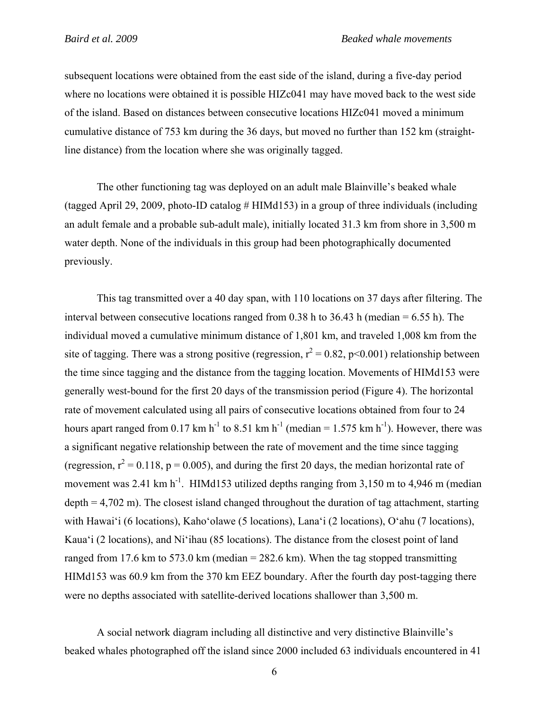subsequent locations were obtained from the east side of the island, during a five-day period where no locations were obtained it is possible HIZc041 may have moved back to the west side of the island. Based on distances between consecutive locations HIZc041 moved a minimum cumulative distance of 753 km during the 36 days, but moved no further than 152 km (straightline distance) from the location where she was originally tagged.

 The other functioning tag was deployed on an adult male Blainville's beaked whale (tagged April 29, 2009, photo-ID catalog  $\#$  HIMd153) in a group of three individuals (including an adult female and a probable sub-adult male), initially located 31.3 km from shore in 3,500 m water depth. None of the individuals in this group had been photographically documented previously.

 This tag transmitted over a 40 day span, with 110 locations on 37 days after filtering. The interval between consecutive locations ranged from 0.38 h to 36.43 h (median  $= 6.55$  h). The individual moved a cumulative minimum distance of 1,801 km, and traveled 1,008 km from the site of tagging. There was a strong positive (regression,  $r^2 = 0.82$ , p<0.001) relationship between the time since tagging and the distance from the tagging location. Movements of HIMd153 were generally west-bound for the first 20 days of the transmission period (Figure 4). The horizontal rate of movement calculated using all pairs of consecutive locations obtained from four to 24 hours apart ranged from 0.17 km h<sup>-1</sup> to 8.51 km h<sup>-1</sup> (median = 1.575 km h<sup>-1</sup>). However, there was a significant negative relationship between the rate of movement and the time since tagging (regression,  $r^2 = 0.118$ , p = 0.005), and during the first 20 days, the median horizontal rate of movement was 2.41 km  $h^{-1}$ . HIMd153 utilized depths ranging from 3,150 m to 4,946 m (median depth = 4,702 m). The closest island changed throughout the duration of tag attachment, starting with Hawai'i (6 locations), Kaho'olawe (5 locations), Lana'i (2 locations), O'ahu (7 locations), Kaua'i (2 locations), and Ni'ihau (85 locations). The distance from the closest point of land ranged from 17.6 km to 573.0 km (median  $= 282.6$  km). When the tag stopped transmitting HIMd153 was 60.9 km from the 370 km EEZ boundary. After the fourth day post-tagging there were no depths associated with satellite-derived locations shallower than 3,500 m.

 A social network diagram including all distinctive and very distinctive Blainville's beaked whales photographed off the island since 2000 included 63 individuals encountered in 41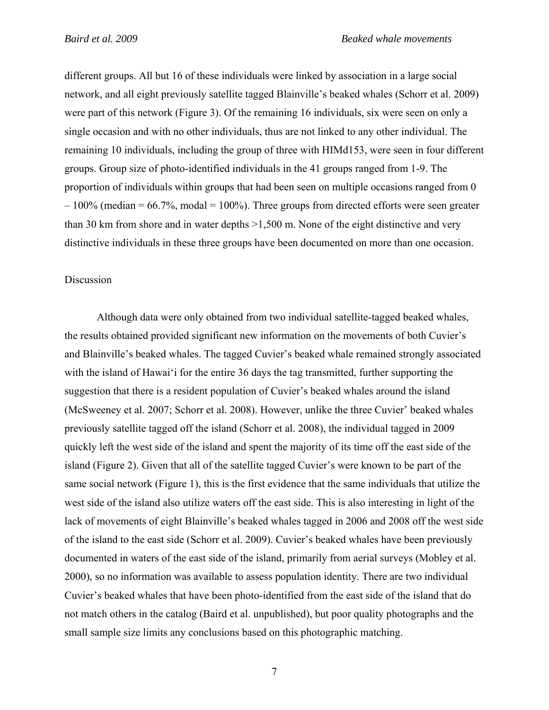different groups. All but 16 of these individuals were linked by association in a large social network, and all eight previously satellite tagged Blainville's beaked whales (Schorr et al. 2009) were part of this network (Figure 3). Of the remaining 16 individuals, six were seen on only a single occasion and with no other individuals, thus are not linked to any other individual. The remaining 10 individuals, including the group of three with HIMd153, were seen in four different groups. Group size of photo-identified individuals in the 41 groups ranged from 1-9. The proportion of individuals within groups that had been seen on multiple occasions ranged from 0  $-100\%$  (median = 66.7%, modal = 100%). Three groups from directed efforts were seen greater than 30 km from shore and in water depths >1,500 m. None of the eight distinctive and very distinctive individuals in these three groups have been documented on more than one occasion.

#### Discussion

 Although data were only obtained from two individual satellite-tagged beaked whales, the results obtained provided significant new information on the movements of both Cuvier's and Blainville's beaked whales. The tagged Cuvier's beaked whale remained strongly associated with the island of Hawai'i for the entire 36 days the tag transmitted, further supporting the suggestion that there is a resident population of Cuvier's beaked whales around the island (McSweeney et al. 2007; Schorr et al. 2008). However, unlike the three Cuvier' beaked whales previously satellite tagged off the island (Schorr et al. 2008), the individual tagged in 2009 quickly left the west side of the island and spent the majority of its time off the east side of the island (Figure 2). Given that all of the satellite tagged Cuvier's were known to be part of the same social network (Figure 1), this is the first evidence that the same individuals that utilize the west side of the island also utilize waters off the east side. This is also interesting in light of the lack of movements of eight Blainville's beaked whales tagged in 2006 and 2008 off the west side of the island to the east side (Schorr et al. 2009). Cuvier's beaked whales have been previously documented in waters of the east side of the island, primarily from aerial surveys (Mobley et al. 2000), so no information was available to assess population identity. There are two individual Cuvier's beaked whales that have been photo-identified from the east side of the island that do not match others in the catalog (Baird et al. unpublished), but poor quality photographs and the small sample size limits any conclusions based on this photographic matching.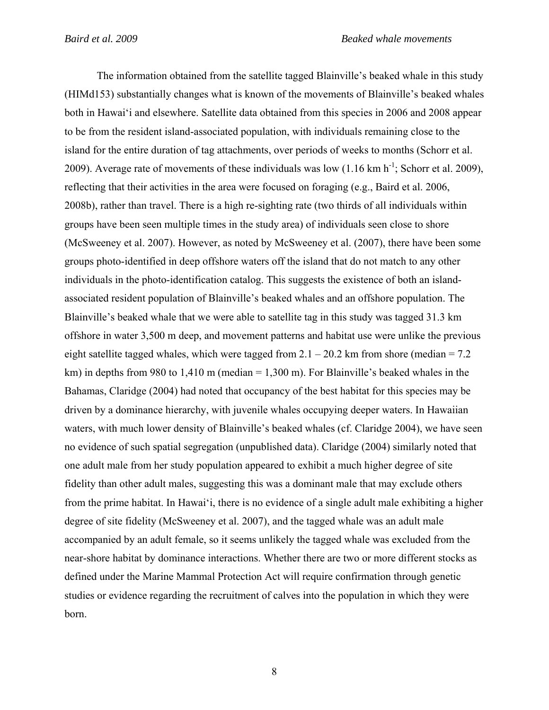The information obtained from the satellite tagged Blainville's beaked whale in this study (HIMd153) substantially changes what is known of the movements of Blainville's beaked whales both in Hawai'i and elsewhere. Satellite data obtained from this species in 2006 and 2008 appear to be from the resident island-associated population, with individuals remaining close to the island for the entire duration of tag attachments, over periods of weeks to months (Schorr et al. 2009). Average rate of movements of these individuals was low  $(1.16 \text{ km h}^{-1})$ ; Schorr et al. 2009), reflecting that their activities in the area were focused on foraging (e.g., Baird et al. 2006, 2008b), rather than travel. There is a high re-sighting rate (two thirds of all individuals within groups have been seen multiple times in the study area) of individuals seen close to shore (McSweeney et al. 2007). However, as noted by McSweeney et al. (2007), there have been some groups photo-identified in deep offshore waters off the island that do not match to any other individuals in the photo-identification catalog. This suggests the existence of both an islandassociated resident population of Blainville's beaked whales and an offshore population. The Blainville's beaked whale that we were able to satellite tag in this study was tagged 31.3 km offshore in water 3,500 m deep, and movement patterns and habitat use were unlike the previous eight satellite tagged whales, which were tagged from  $2.1 - 20.2$  km from shore (median = 7.2) km) in depths from 980 to 1,410 m (median = 1,300 m). For Blainville's beaked whales in the Bahamas, Claridge (2004) had noted that occupancy of the best habitat for this species may be driven by a dominance hierarchy, with juvenile whales occupying deeper waters. In Hawaiian waters, with much lower density of Blainville's beaked whales (cf. Claridge 2004), we have seen no evidence of such spatial segregation (unpublished data). Claridge (2004) similarly noted that one adult male from her study population appeared to exhibit a much higher degree of site fidelity than other adult males, suggesting this was a dominant male that may exclude others from the prime habitat. In Hawai'i, there is no evidence of a single adult male exhibiting a higher degree of site fidelity (McSweeney et al. 2007), and the tagged whale was an adult male accompanied by an adult female, so it seems unlikely the tagged whale was excluded from the near-shore habitat by dominance interactions. Whether there are two or more different stocks as defined under the Marine Mammal Protection Act will require confirmation through genetic studies or evidence regarding the recruitment of calves into the population in which they were born.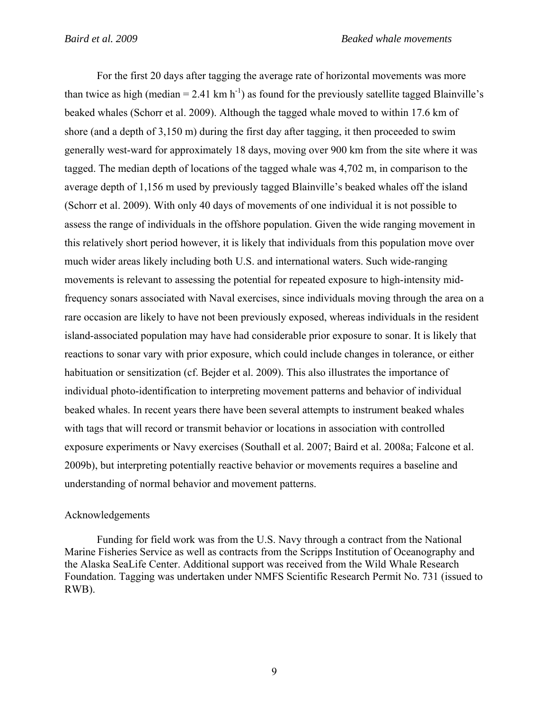For the first 20 days after tagging the average rate of horizontal movements was more than twice as high (median = 2.41 km  $h^{-1}$ ) as found for the previously satellite tagged Blainville's beaked whales (Schorr et al. 2009). Although the tagged whale moved to within 17.6 km of shore (and a depth of 3,150 m) during the first day after tagging, it then proceeded to swim generally west-ward for approximately 18 days, moving over 900 km from the site where it was tagged. The median depth of locations of the tagged whale was 4,702 m, in comparison to the average depth of 1,156 m used by previously tagged Blainville's beaked whales off the island (Schorr et al. 2009). With only 40 days of movements of one individual it is not possible to assess the range of individuals in the offshore population. Given the wide ranging movement in this relatively short period however, it is likely that individuals from this population move over much wider areas likely including both U.S. and international waters. Such wide-ranging movements is relevant to assessing the potential for repeated exposure to high-intensity midfrequency sonars associated with Naval exercises, since individuals moving through the area on a rare occasion are likely to have not been previously exposed, whereas individuals in the resident island-associated population may have had considerable prior exposure to sonar. It is likely that reactions to sonar vary with prior exposure, which could include changes in tolerance, or either habituation or sensitization (cf. Bejder et al. 2009). This also illustrates the importance of individual photo-identification to interpreting movement patterns and behavior of individual beaked whales. In recent years there have been several attempts to instrument beaked whales with tags that will record or transmit behavior or locations in association with controlled exposure experiments or Navy exercises (Southall et al. 2007; Baird et al. 2008a; Falcone et al. 2009b), but interpreting potentially reactive behavior or movements requires a baseline and understanding of normal behavior and movement patterns.

## Acknowledgements

 Funding for field work was from the U.S. Navy through a contract from the National Marine Fisheries Service as well as contracts from the Scripps Institution of Oceanography and the Alaska SeaLife Center. Additional support was received from the Wild Whale Research Foundation. Tagging was undertaken under NMFS Scientific Research Permit No. 731 (issued to RWB).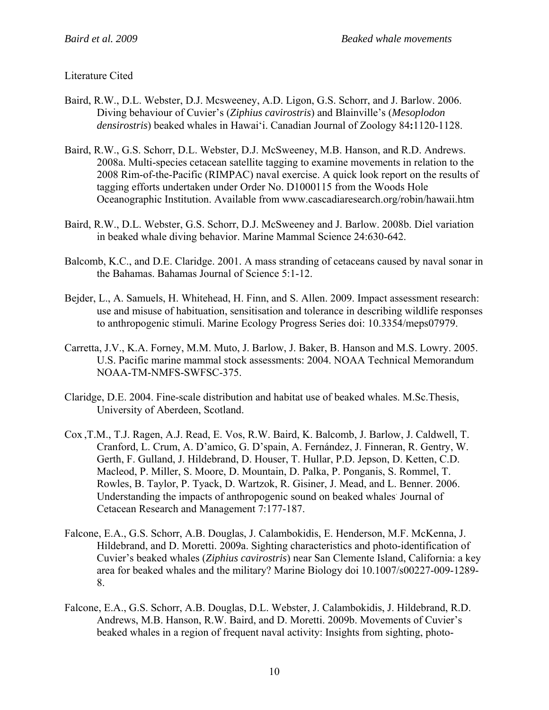# Literature Cited

- Baird, R.W., D.L. Webster, D.J. Mcsweeney, A.D. Ligon, G.S. Schorr, and J. Barlow. 2006. Diving behaviour of Cuvier's (*Ziphius cavirostris*) and Blainville's (*Mesoplodon densirostris*) beaked whales in Hawai'i. Canadian Journal of Zoology 84**:**1120-1128.
- Baird, R.W., G.S. Schorr, D.L. Webster, D.J. McSweeney, M.B. Hanson, and R.D. Andrews. 2008a. Multi-species cetacean satellite tagging to examine movements in relation to the 2008 Rim-of-the-Pacific (RIMPAC) naval exercise. A quick look report on the results of tagging efforts undertaken under Order No. D1000115 from the Woods Hole Oceanographic Institution. Available from www.cascadiaresearch.org/robin/hawaii.htm
- Baird, R.W., D.L. Webster, G.S. Schorr, D.J. McSweeney and J. Barlow. 2008b. Diel variation in beaked whale diving behavior. Marine Mammal Science 24:630-642.
- Balcomb, K.C., and D.E. Claridge. 2001. A mass stranding of cetaceans caused by naval sonar in the Bahamas. Bahamas Journal of Science 5:1-12.
- Bejder, L., A. Samuels, H. Whitehead, H. Finn, and S. Allen. 2009. Impact assessment research: use and misuse of habituation, sensitisation and tolerance in describing wildlife responses to anthropogenic stimuli. Marine Ecology Progress Series doi: 10.3354/meps07979.
- Carretta, J.V., K.A. Forney, M.M. Muto, J. Barlow, J. Baker, B. Hanson and M.S. Lowry. 2005. U.S. Pacific marine mammal stock assessments: 2004. NOAA Technical Memorandum NOAA-TM-NMFS-SWFSC-375.
- Claridge, D.E. 2004. Fine-scale distribution and habitat use of beaked whales. M.Sc.Thesis, University of Aberdeen, Scotland.
- Cox ,T.M., T.J. Ragen, A.J. Read, E. Vos, R.W. Baird, K. Balcomb, J. Barlow, J. Caldwell, T. Cranford, L. Crum, A. D'amico, G. D'spain, A. Fernández, J. Finneran, R. Gentry, W. Gerth, F. Gulland, J. Hildebrand, D. Houser, T. Hullar, P.D. Jepson, D. Ketten, C.D. Macleod, P. Miller, S. Moore, D. Mountain, D. Palka, P. Ponganis, S. Rommel, T. Rowles, B. Taylor, P. Tyack, D. Wartzok, R. Gisiner, J. Mead, and L. Benner. 2006. Understanding the impacts of anthropogenic sound on beaked whales Journal of Cetacean Research and Management 7:177-187.
- Falcone, E.A., G.S. Schorr, A.B. Douglas, J. Calambokidis, E. Henderson, M.F. McKenna, J. Hildebrand, and D. Moretti. 2009a. Sighting characteristics and photo-identification of Cuvier's beaked whales (*Ziphius cavirostris*) near San Clemente Island, California: a key area for beaked whales and the military? Marine Biology doi 10.1007/s00227-009-1289- 8.
- Falcone, E.A., G.S. Schorr, A.B. Douglas, D.L. Webster, J. Calambokidis, J. Hildebrand, R.D. Andrews, M.B. Hanson, R.W. Baird, and D. Moretti. 2009b. Movements of Cuvier's beaked whales in a region of frequent naval activity: Insights from sighting, photo-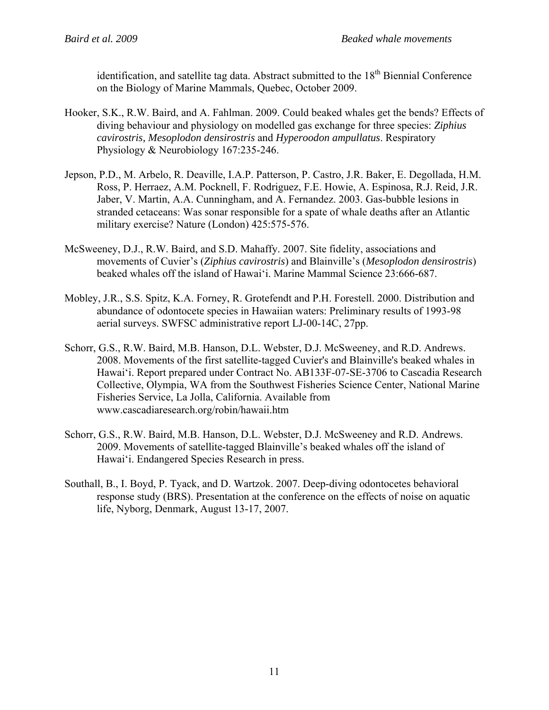identification, and satellite tag data. Abstract submitted to the  $18<sup>th</sup>$  Biennial Conference on the Biology of Marine Mammals, Quebec, October 2009.

- Hooker, S.K., R.W. Baird, and A. Fahlman. 2009. Could beaked whales get the bends? Effects of diving behaviour and physiology on modelled gas exchange for three species: *Ziphius cavirostris, Mesoplodon densirostris* and *Hyperoodon ampullatus*. Respiratory Physiology & Neurobiology 167:235-246.
- Jepson, P.D., M. Arbelo, R. Deaville, I.A.P. Patterson, P. Castro, J.R. Baker, E. Degollada, H.M. Ross, P. Herraez, A.M. Pocknell, F. Rodriguez, F.E. Howie, A. Espinosa, R.J. Reid, J.R. Jaber, V. Martin, A.A. Cunningham, and A. Fernandez. 2003. Gas-bubble lesions in stranded cetaceans: Was sonar responsible for a spate of whale deaths after an Atlantic military exercise? Nature (London) 425:575-576.
- McSweeney, D.J., R.W. Baird, and S.D. Mahaffy. 2007. Site fidelity, associations and movements of Cuvier's (*Ziphius cavirostris*) and Blainville's (*Mesoplodon densirostris*) beaked whales off the island of Hawai'i. Marine Mammal Science 23:666-687.
- Mobley, J.R., S.S. Spitz, K.A. Forney, R. Grotefendt and P.H. Forestell. 2000. Distribution and abundance of odontocete species in Hawaiian waters: Preliminary results of 1993-98 aerial surveys. SWFSC administrative report LJ-00-14C, 27pp.
- Schorr, G.S., R.W. Baird, M.B. Hanson, D.L. Webster, D.J. McSweeney, and R.D. Andrews. 2008. Movements of the first satellite-tagged Cuvier's and Blainville's beaked whales in Hawai'i. Report prepared under Contract No. AB133F-07-SE-3706 to Cascadia Research Collective, Olympia, WA from the Southwest Fisheries Science Center, National Marine Fisheries Service, La Jolla, California. Available from www.cascadiaresearch.org/robin/hawaii.htm
- Schorr, G.S., R.W. Baird, M.B. Hanson, D.L. Webster, D.J. McSweeney and R.D. Andrews. 2009. Movements of satellite-tagged Blainville's beaked whales off the island of Hawai'i. Endangered Species Research in press.
- Southall, B., I. Boyd, P. Tyack, and D. Wartzok. 2007. Deep-diving odontocetes behavioral response study (BRS). Presentation at the conference on the effects of noise on aquatic life, Nyborg, Denmark, August 13-17, 2007.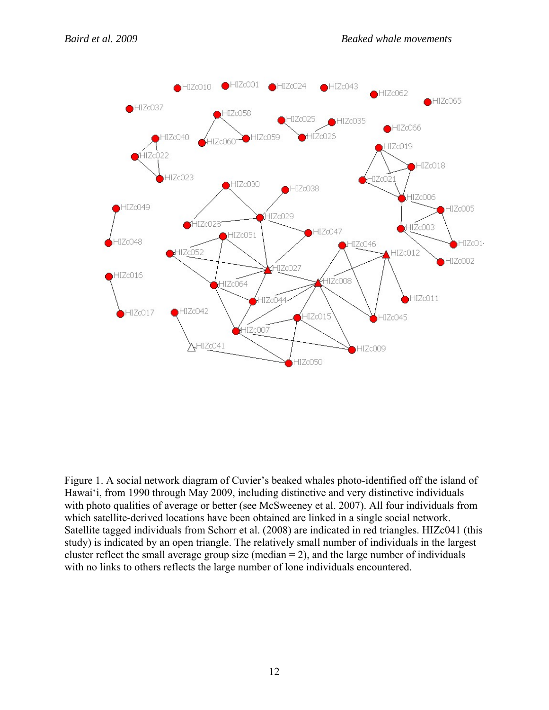

Figure 1. A social network diagram of Cuvier's beaked whales photo-identified off the island of Hawai'i, from 1990 through May 2009, including distinctive and very distinctive individuals with photo qualities of average or better (see McSweeney et al. 2007). All four individuals from which satellite-derived locations have been obtained are linked in a single social network. Satellite tagged individuals from Schorr et al. (2008) are indicated in red triangles. HIZc041 (this study) is indicated by an open triangle. The relatively small number of individuals in the largest cluster reflect the small average group size (median  $= 2$ ), and the large number of individuals with no links to others reflects the large number of lone individuals encountered.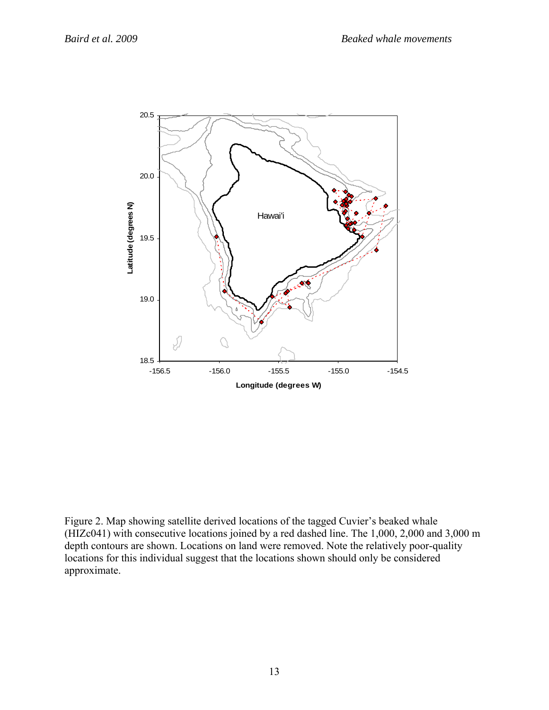

Figure 2. Map showing satellite derived locations of the tagged Cuvier's beaked whale (HIZc041) with consecutive locations joined by a red dashed line. The 1,000, 2,000 and 3,000 m depth contours are shown. Locations on land were removed. Note the relatively poor-quality locations for this individual suggest that the locations shown should only be considered approximate.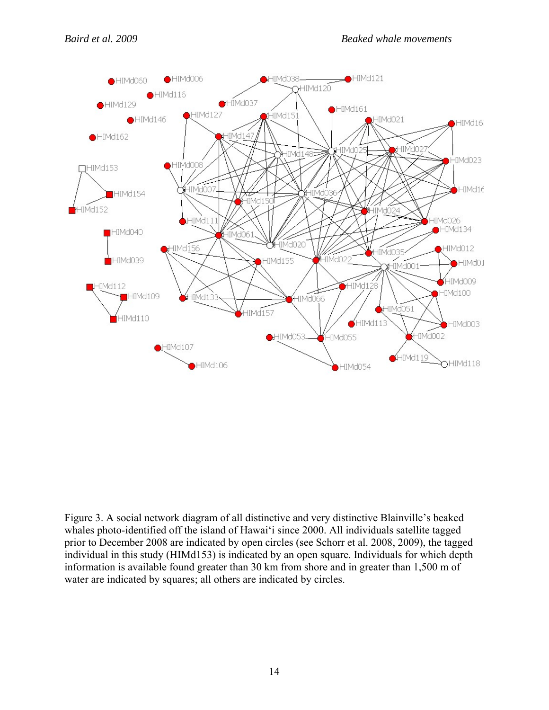

Figure 3. A social network diagram of all distinctive and very distinctive Blainville's beaked whales photo-identified off the island of Hawai'i since 2000. All individuals satellite tagged prior to December 2008 are indicated by open circles (see Schorr et al. 2008, 2009), the tagged individual in this study (HIMd153) is indicated by an open square. Individuals for which depth information is available found greater than 30 km from shore and in greater than 1,500 m of water are indicated by squares; all others are indicated by circles.